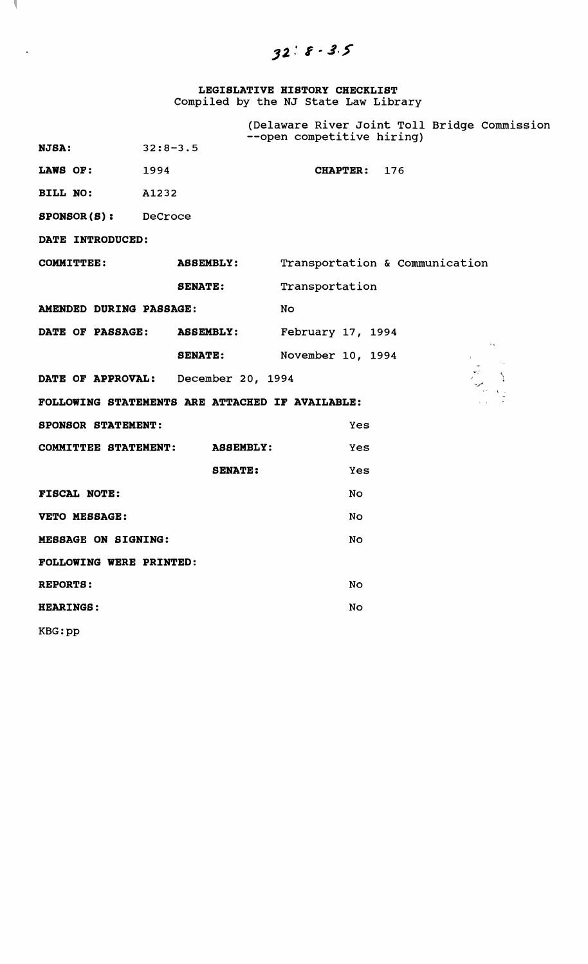$32:8 - 3.5$ 

# **LEGISLATIVE HISTORY CHECKLIST**  Compiled by the NJ state Law Library

 $\mathcal{A}$ 

 $\sim$ 

|                                                 |                            | --open competitive hiring) | (Delaware River Joint Toll Bridge Commission |
|-------------------------------------------------|----------------------------|----------------------------|----------------------------------------------|
| $32:8-3.5$<br><b>NJSA:</b>                      |                            |                            |                                              |
| <b>LAWS OF:</b> 1994                            |                            | CHAPTER: 176               |                                              |
| <b>BILL NO:</b> A1232                           |                            |                            |                                              |
| <b>SPONSOR(S):</b> DeCroce                      |                            |                            |                                              |
| DATE INTRODUCED:                                |                            |                            |                                              |
|                                                 | COMMITTEE: ASSEMBLY:       |                            | Transportation & Communication               |
|                                                 | <b>SENATE:</b>             | Transportation             |                                              |
| AMENDED DURING PASSAGE:                         |                            | <b>No</b>                  |                                              |
|                                                 | DATE OF PASSAGE: ASSEMBLY: | February 17, 1994          |                                              |
|                                                 | <b>SENATE:</b>             | November 10, 1994          | $\sim$ $\epsilon$                            |
| DATE OF APPROVAL: December 20, 1994             |                            |                            |                                              |
| FOLLOWING STATEMENTS ARE ATTACHED IF AVAILABLE: |                            |                            |                                              |
| <b>SPONSOR STATEMENT:</b>                       |                            | Yes                        |                                              |
| <b>COMMITTEE STATEMENT:</b>                     | <b>ASSEMBLY:</b>           | Yes                        |                                              |
|                                                 | <b>SENATE:</b>             | Yes                        |                                              |
| <b>FISCAL NOTE:</b>                             |                            | No                         |                                              |
| VETO MESSAGE:                                   |                            | No                         |                                              |
| <b>MESSAGE ON SIGNING:</b>                      |                            | No                         |                                              |
| <b>FOLLOWING WERE PRINTED:</b>                  |                            |                            |                                              |
| <b>REPORTS:</b>                                 |                            | No                         |                                              |
| <b>HEARINGS:</b>                                |                            | No                         |                                              |
| KBG:pp                                          |                            |                            |                                              |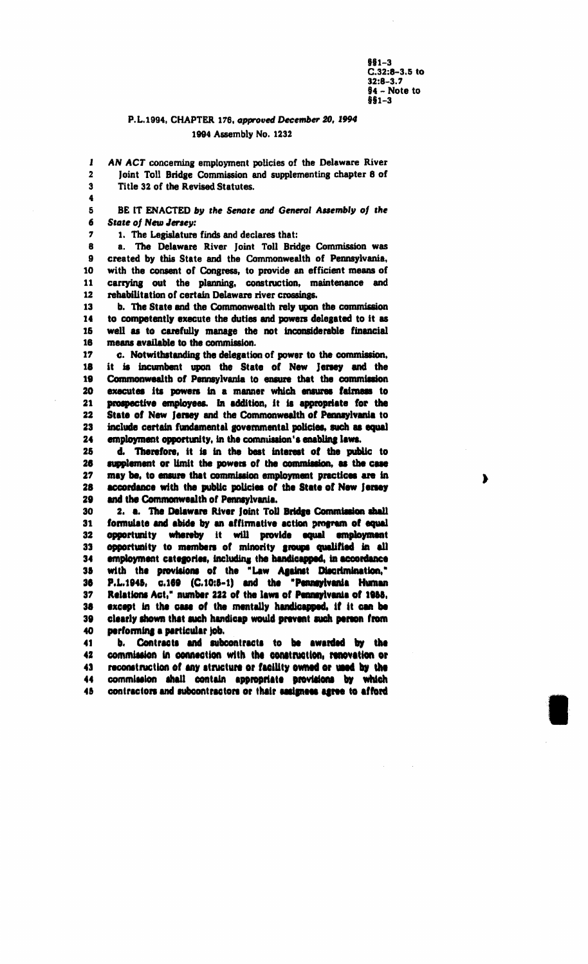$$61-3$  $C.32:8-3.5$  to  $32:8 - 3.7$  $$4 - Note to$ \$\$1-3

 $\blacktriangleright$ 

#### P.L.1994, CHAPTER 176, approved December 20, 1994 1994 Assembly No. 1232

AN ACT concerning employment policies of the Delaware River Joint Toll Bridge Commission and supplementing chapter 8 of Title 32 of the Revised Statutes.

5 BE IT ENACTED by the Senate and General Assembly of the 6 **State of New Jersey:** 

1. The Legislature finds and declares that:

 $\mathbf{I}$ 

 $\overline{2}$ 

3

4

 $\overline{r}$ 

a. The Delaware River Joint Toll Bridge Commission was  $\mathbf{a}$  $\mathbf{9}$ created by this State and the Commonwealth of Pennsylvania,  $10$ with the consent of Congress, to provide an efficient means of carrying out the planning, construction, maintenance and 11 12 rehabilitation of certain Delaware river crossings.

b. The State and the Commonwealth rely upon the commission 13 14 to competently execute the duties and powers delegated to it as  $15$ well as to carefully manage the not inconsiderable financial means available to the commission. 16

17 c. Notwithstanding the delegation of power to the commission, it is incumbent upon the State of New Jersey and the 18 19 Commonwealth of Pennsylvania to ensure that the commission  $20$ executes its powers in a manner which ensures fairness to prospective employees. In addition, it is appropriate for the 21 22 State of New Jersey and the Commonwealth of Pennsylvania to 23 include certain fundamental governmental policies, such as equal 24 employment opportunity, in the commission's enabling laws.

25 d. Therefore, it is in the best interest of the public to 26 supplement or limit the powers of the commission, as the case 27 may be, to ensure that commission employment practices are in accordance with the public policies of the State of New Jersey 28 29 and the Commonwealth of Pennsylvania.

30 2. a. The Delaware River Joint Toll Bridge Commission shall formulate and abide by an affirmative action program of equal 31 32 opportunity whereby it will provide equal employment opportunity to members of minority groups qualified in all 33 employment categories, including the handicapped, in accordance 34 with the provisions of the "Law Against Discrimination," 35 P.L.1945, c.169 (C.10:5-1) and the "Pennsylvania Human 36 37 Relations Act," number 222 of the laws of Pennsylvania of 1955, 38 except in the case of the mentally handicapped, if it can be clearly shown that such handicap would prevent such person from 39 40 performing a particular job.

41 b. Contracts and subcontracts to be awarded by the commission in connection with the construction, renovation or 42 43 reconstruction of any structure or facility owned or used by the 44 commission shall contain appropriate provisions by which contractors and subcontractors or thair sasigness agree to afford 45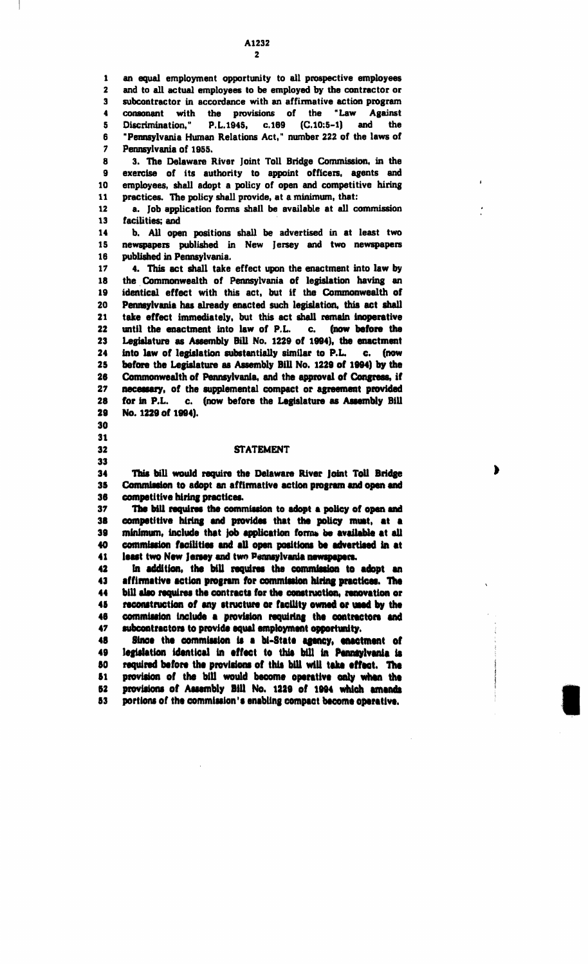an equal employment opportunity to all prospective employees  $\mathbf{1}$  $\overline{\mathbf{z}}$ and to all actual employees to be employed by the contractor or subcontractor in accordance with an affirmative action program  $\mathbf{3}$ consonant with the provisions of the "Law Against 4 5 Discrimination." P.L.1945, c.169 (C.10:5-1) and the "Pennsylvania Human Relations Act," number 222 of the laws of ĥ.  $\overline{7}$ Pennsylvania of 1955.

8 3. The Delaware River Joint Toll Bridge Commission, in the exercise of its authority to appoint officers, agents and 9 10 employees, shall adopt a policy of open and competitive hiring  $11$ practices. The policy shall provide, at a minimum, that:

 $12$ a. Job application forms shall be available at all commission facilities; and 13

14 b. All open positions shall be advertised in at least two 15 newspapers published in New Jersey and two newspapers 16 published in Pennsylvania.

4. This act shall take effect upon the enactment into law by 17 18 the Commonwealth of Pennsylvania of legislation having an identical effect with this act, but if the Commonwealth of 19 20 Pennsylvania has already enacted such legislation, this act shall take effect immediately, but this act shall remain inoperative 21 22 until the enactment into law of P.L. c. (now before the 23 Legislature as Assembly Bill No. 1229 of 1994), the enactment 24 into law of legislation substantially similar to P.L. c. (now 25 before the Legislature as Assembly Bill No. 1229 of 1994) by the 26 Commonwealth of Pennsylvania, and the approval of Congress, if 27 necessary, of the supplemental compact or agreement provided 28 for in P.L. c. (now before the Legislature as Assembly Bill 29 No. 1229 of 1994).

#### 30 31

32

33

#### **STATEMENT**

▶

34 This bill would require the Delaware River Joint Toll Bridge 35 Commission to adopt an affirmative action program and open and competitive hiring practices. 36

The bill requires the commission to adopt a policy of open and 37 38 competitive hiring and provides that the policy must, at a minimum, include that job application forms be available at all 39 commission facilities and all open positions be advertised in at 40 41 least two New Jersey and two Pennsylvania newspapers.

42 In addition, the bill requires the commission to adopt an 43 affirmative action program for commission hiring practices. The 44 bill also requires the contracts for the construction, renovation or reconstruction of any structure or facility owned or used by the 45 commission include a provision requiring the contractors and 46 47 subcontractors to provide equal employment opportunity.

48 Since the commission is a bi-State agency, enactment of 49 legislation identical in effect to this bill in Pennsylvania is required before the provisions of this bill will take effect. The 60 provision of the bill would become operative only when the 51 62 provisions of Assembly Bill No. 1229 of 1994 which amends 53 portions of the commission's enabling compact become operative.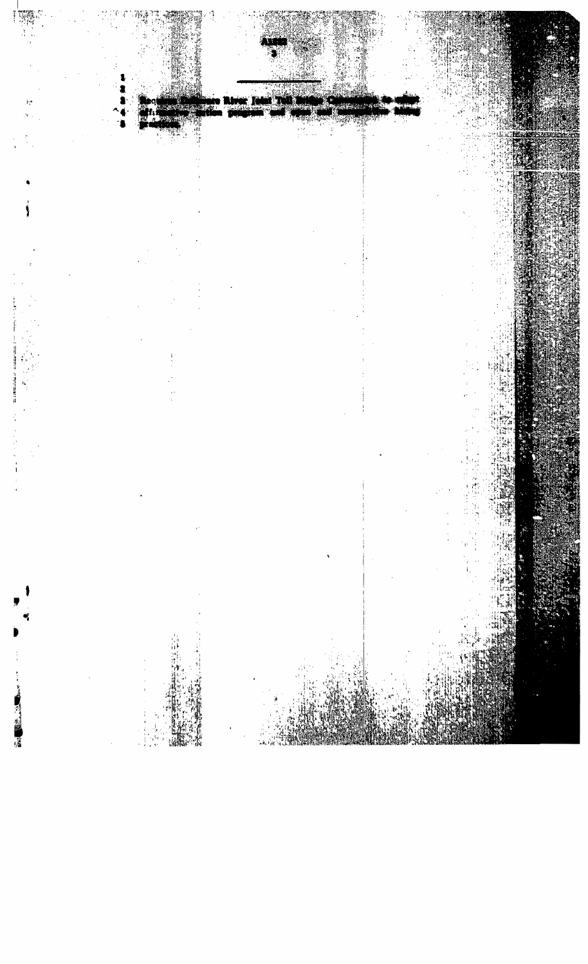

厦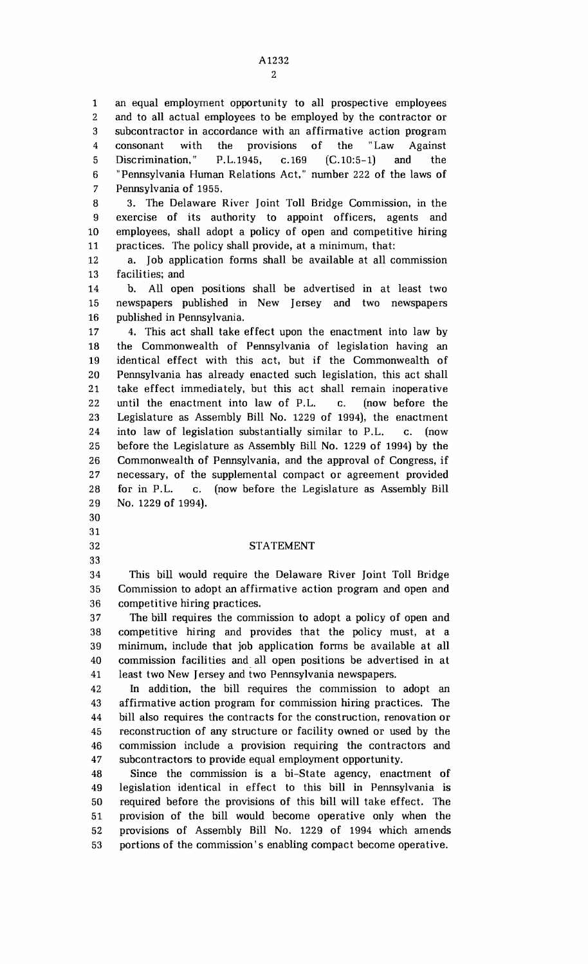5 1 an equal employment opportunity to all prospective employees 2 and to all actual employees to be employed by the contractor or 3 subcontractor in accordance with an affirmative action program 4 consonant with the provisions of the "Law Against Discrimination," P.L.1945, c.169 (C.10:5-1) and the 6 "Pennsylvania Human Relations Act," number 222 of the laws of 7 Pennsylvania of 1955.

10 8 3. The Delaware River Joint Toll Bridge Commission, in the 9 exercise of its authority to appoint officers, agents and employees, shall adopt a policy of open and competitive hiring 11 practices. The policy shall provide, at a minimum, that:

12 a. Job application fonns shall be available at all commission 13 facilities; and

15 14 b. All open positions shall be advertised in at least two newspapers published in New Jersey and two newspapers 16 published in Pennsylvania.

20 25 17 4. This act shall take effect upon the enactment into law by 18 the Commonwealth of Pennsylvania of legislation having an 19 identical effect with this act. but if the Commonwealth of Pennsylvania has already enacted such legislation, this act shall 21 take effect immediately, but this act shall remain inoperative 22 until the enactment into law of P.L. c. (now before the 23 Legislature as Assembly Bill No. 1229 of 1994), the enactment 24 into law of legislation substantially similar to P.L. c. (now before the Legislature as Assembly Bill No. 1229 of 1994) by the 26 Commonwealth of Pennsylvania, and the approval of Congress, if 27 necessary, of the supplemental compact or agreement provided 28 for in P.L. c. (now before the Legislature as Assembly Bill 29 No. 1229 of 1994).

#### 32 STATEMENT

35 34 This bill would require the Delaware River Joint Toll Bridge Commission to adopt an affirmative action program and open and 36 competitive hiring practices.

30

31

33

40 37 The bill requires the commission to adopt a policy of open and 38 competitive hiring and provides that the policy must. at a 39 minimum, include that job application forms be available at all commission facilities and all open positions be advertised in at 41 least two New Jersey and two Pennsylvania newspapers.

45 42 In addition, the bill requires the commission to adopt an 43 affirmative action program for commission hiring practices. The 44 bill also requires the contracts for the construction, renovation or reconstruction of any structure or facility owned or used by the 46 commission include a provision requiring the contractors and 47 subcontractors to provide equal employment opportunity.

50 48 Since the commission is a bi-State agency, enactment of 49 legislation identical in effect to this bill in Pennsylvania is required before the provisions of this bill will take effect. The 51 provision of the bill would become operative only when the 52 provisions of Assembly Bill No. 1229 of 1994 which amends 53 portions of the commission's enabling compact become operative.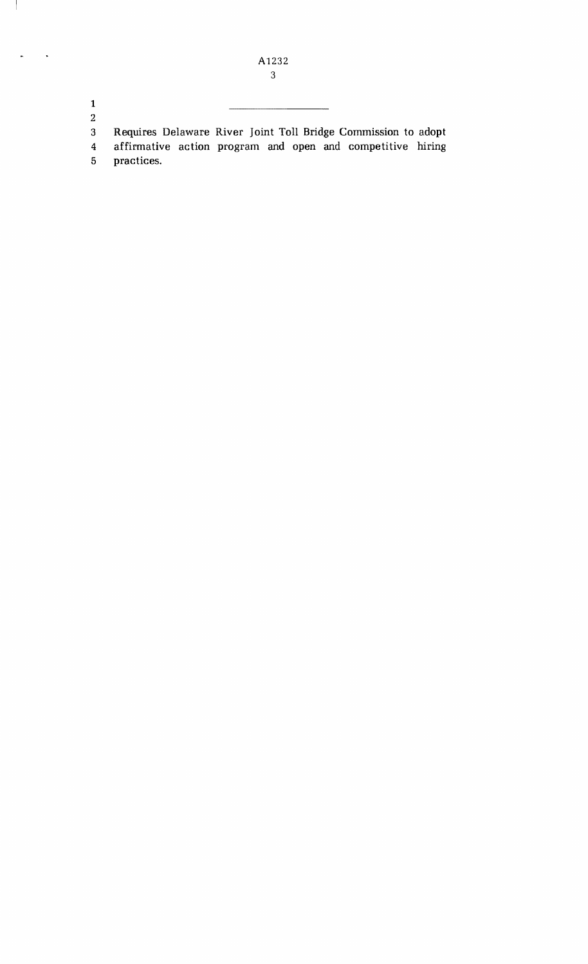1 2

 $\overline{\phantom{a}}$ 

 $\ddot{\phantom{0}}$ 

3 Requires Delaware River Joint Toll Bridge Commission to adopt 4 affirmative action program and open and competitive hiring<br>5 practices.

practices.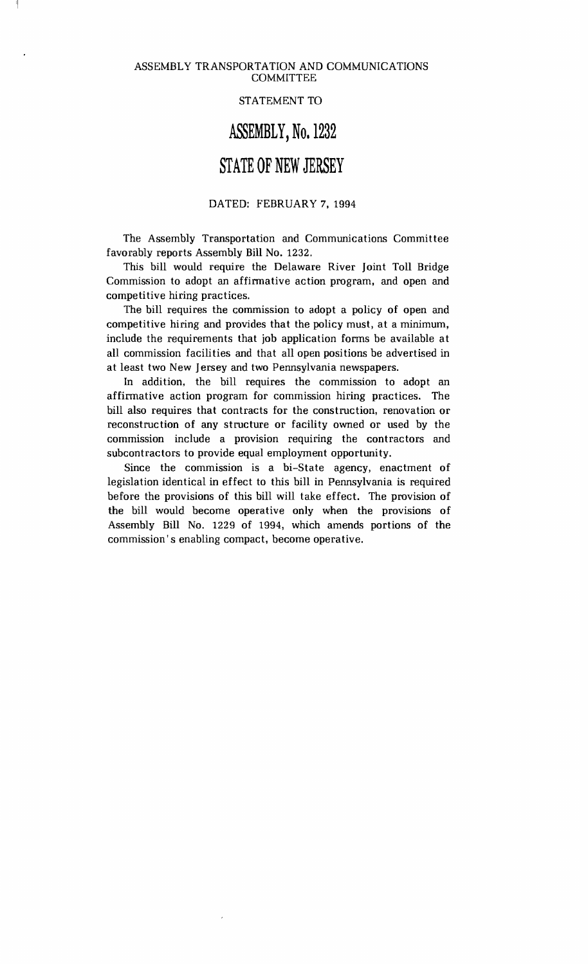### STATEMENT TO

### **ASSEMBLY, No. 1232**

# **STATE OF NEW JERSEY**

### DATED: FEBRUARY 7, 1994

The Assembly Transportation and Communications Committee favorably reports Assembly Bill No. 1232.

This bill would require the Delaware River Joint Toll Bridge Commission to adopt an affirmative action program, and open and competitive hiring practices.

The bill requires the commission to adopt a policy of open and competitive hiring and provides that the policy must, at a minimum, include the requirements that job application forms be available at all commission facilities and that all open positions be advertised in at least two New Jersey and two Pennsylvania newspapers.

In addition, the bill requires the commission to adopt an affirmative action program for commission hiring practices. The bill also requires that contracts for the construction, renovation or reconstruction of any structure or facility owned or used by the commission include a provision requiring the contractors and subcontractors to provide equal employment opportunity.

Since the commission is a bi-State agency, enactment of legislation identical in effect to this bill in Pennsylvania is required before the provisions of this bill will take effect. The provision of the bill would become operative only when the provisions of Assembly Bill No. 1229 of 1994, which amends portions of the commission's enabling compact, become operative.